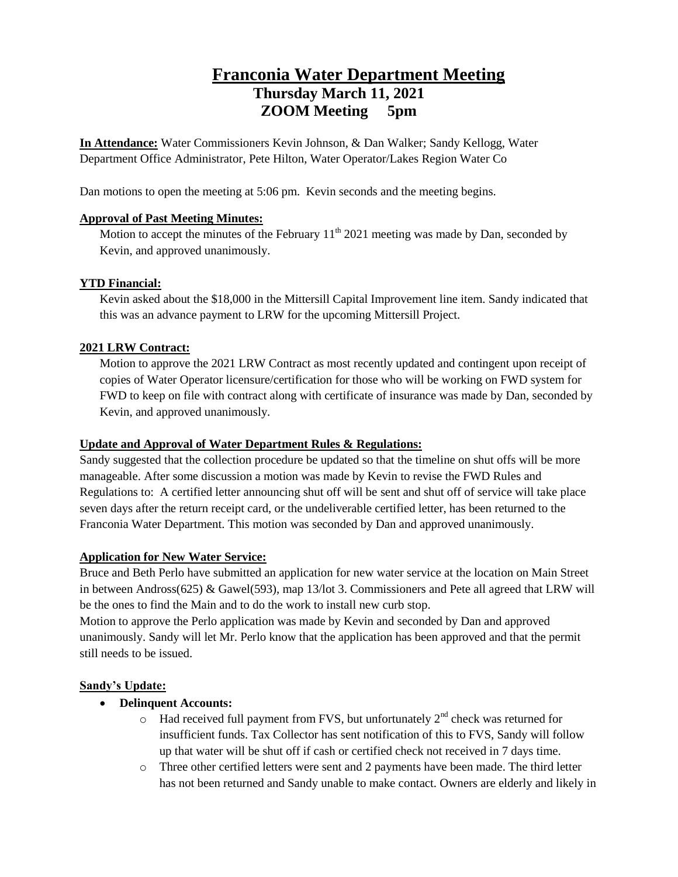# **Franconia Water Department Meeting Thursday March 11, 2021 ZOOM Meeting 5pm**

**In Attendance:** Water Commissioners Kevin Johnson, & Dan Walker; Sandy Kellogg, Water Department Office Administrator, Pete Hilton, Water Operator/Lakes Region Water Co

Dan motions to open the meeting at 5:06 pm. Kevin seconds and the meeting begins.

# **Approval of Past Meeting Minutes:**

Motion to accept the minutes of the February  $11<sup>th</sup> 2021$  meeting was made by Dan, seconded by Kevin, and approved unanimously.

# **YTD Financial:**

Kevin asked about the \$18,000 in the Mittersill Capital Improvement line item. Sandy indicated that this was an advance payment to LRW for the upcoming Mittersill Project.

# **2021 LRW Contract:**

Motion to approve the 2021 LRW Contract as most recently updated and contingent upon receipt of copies of Water Operator licensure/certification for those who will be working on FWD system for FWD to keep on file with contract along with certificate of insurance was made by Dan, seconded by Kevin, and approved unanimously.

### **Update and Approval of Water Department Rules & Regulations:**

Sandy suggested that the collection procedure be updated so that the timeline on shut offs will be more manageable. After some discussion a motion was made by Kevin to revise the FWD Rules and Regulations to: A certified letter announcing shut off will be sent and shut off of service will take place seven days after the return receipt card, or the undeliverable certified letter, has been returned to the Franconia Water Department. This motion was seconded by Dan and approved unanimously.

#### **Application for New Water Service:**

Bruce and Beth Perlo have submitted an application for new water service at the location on Main Street in between Andross(625) & Gawel(593), map 13/lot 3. Commissioners and Pete all agreed that LRW will be the ones to find the Main and to do the work to install new curb stop.

Motion to approve the Perlo application was made by Kevin and seconded by Dan and approved unanimously. Sandy will let Mr. Perlo know that the application has been approved and that the permit still needs to be issued.

#### **Sandy's Update:**

# **Delinquent Accounts:**

- $\circ$  Had received full payment from FVS, but unfortunately  $2<sup>nd</sup>$  check was returned for insufficient funds. Tax Collector has sent notification of this to FVS, Sandy will follow up that water will be shut off if cash or certified check not received in 7 days time.
- o Three other certified letters were sent and 2 payments have been made. The third letter has not been returned and Sandy unable to make contact. Owners are elderly and likely in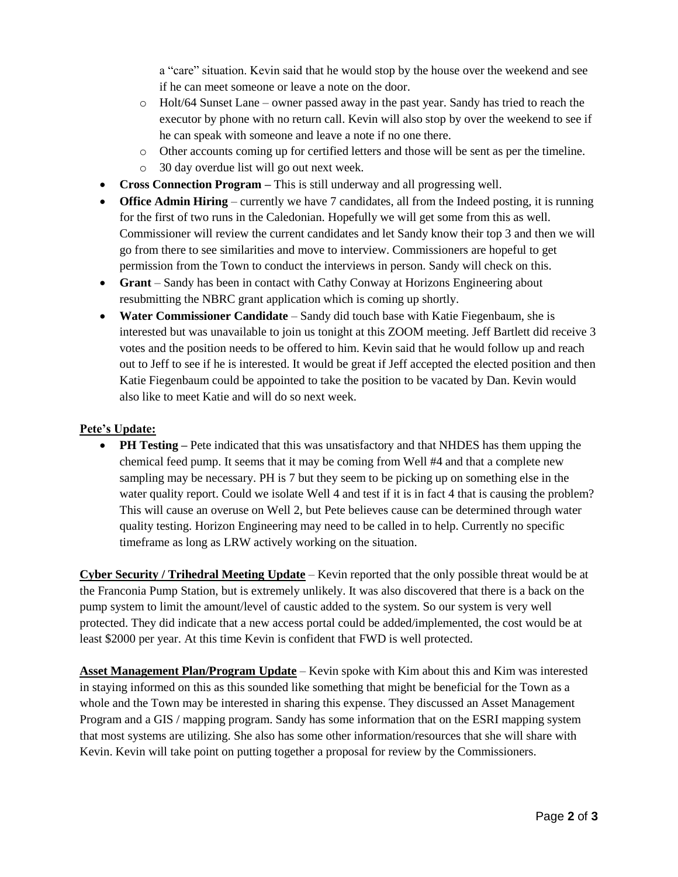a "care" situation. Kevin said that he would stop by the house over the weekend and see if he can meet someone or leave a note on the door.

- o Holt/64 Sunset Lane owner passed away in the past year. Sandy has tried to reach the executor by phone with no return call. Kevin will also stop by over the weekend to see if he can speak with someone and leave a note if no one there.
- o Other accounts coming up for certified letters and those will be sent as per the timeline.
- o 30 day overdue list will go out next week.
- **Cross Connection Program –** This is still underway and all progressing well.
- **Office Admin Hiring** currently we have 7 candidates, all from the Indeed posting, it is running for the first of two runs in the Caledonian. Hopefully we will get some from this as well. Commissioner will review the current candidates and let Sandy know their top 3 and then we will go from there to see similarities and move to interview. Commissioners are hopeful to get permission from the Town to conduct the interviews in person. Sandy will check on this.
- **Grant**  Sandy has been in contact with Cathy Conway at Horizons Engineering about resubmitting the NBRC grant application which is coming up shortly.
- **Water Commissioner Candidate**  Sandy did touch base with Katie Fiegenbaum, she is interested but was unavailable to join us tonight at this ZOOM meeting. Jeff Bartlett did receive 3 votes and the position needs to be offered to him. Kevin said that he would follow up and reach out to Jeff to see if he is interested. It would be great if Jeff accepted the elected position and then Katie Fiegenbaum could be appointed to take the position to be vacated by Dan. Kevin would also like to meet Katie and will do so next week.

#### **Pete's Update:**

• **PH Testing** – Pete indicated that this was unsatisfactory and that NHDES has them upping the chemical feed pump. It seems that it may be coming from Well #4 and that a complete new sampling may be necessary. PH is 7 but they seem to be picking up on something else in the water quality report. Could we isolate Well 4 and test if it is in fact 4 that is causing the problem? This will cause an overuse on Well 2, but Pete believes cause can be determined through water quality testing. Horizon Engineering may need to be called in to help. Currently no specific timeframe as long as LRW actively working on the situation.

**Cyber Security / Trihedral Meeting Update** – Kevin reported that the only possible threat would be at the Franconia Pump Station, but is extremely unlikely. It was also discovered that there is a back on the pump system to limit the amount/level of caustic added to the system. So our system is very well protected. They did indicate that a new access portal could be added/implemented, the cost would be at least \$2000 per year. At this time Kevin is confident that FWD is well protected.

**Asset Management Plan/Program Update** – Kevin spoke with Kim about this and Kim was interested in staying informed on this as this sounded like something that might be beneficial for the Town as a whole and the Town may be interested in sharing this expense. They discussed an Asset Management Program and a GIS / mapping program. Sandy has some information that on the ESRI mapping system that most systems are utilizing. She also has some other information/resources that she will share with Kevin. Kevin will take point on putting together a proposal for review by the Commissioners.